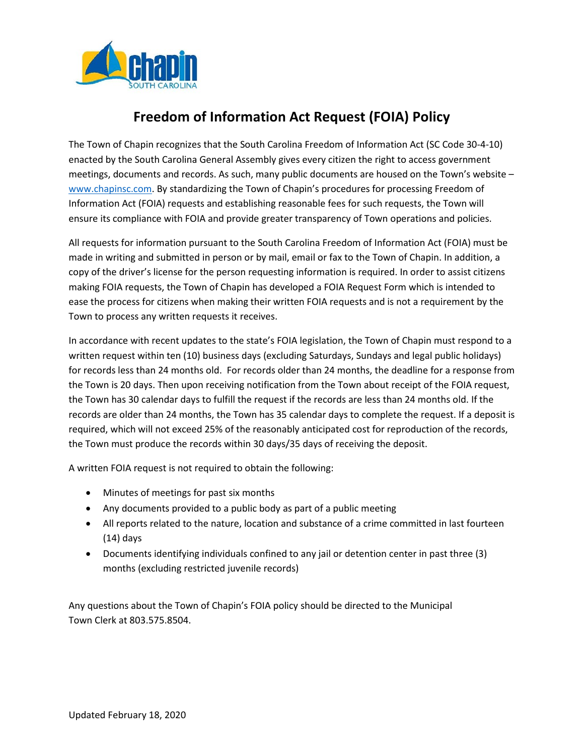

# **Freedom of Information Act Request (FOIA) Policy**

The Town of Chapin recognizes that the South Carolina Freedom of Information Act (SC Code 30-4-10) enacted by the South Carolina General Assembly gives every citizen the right to access government meetings, documents and records. As such, many public documents are housed on the Town's website – www.chapinsc.com. By standardizing the Town of Chapin's procedures for processing Freedom of Information Act (FOIA) requests and establishing reasonable fees for such requests, the Town will ensure its compliance with FOIA and provide greater transparency of Town operations and policies.

All requests for information pursuant to the South Carolina Freedom of Information Act (FOIA) must be made in writing and submitted in person or by mail, email or fax to the Town of Chapin. In addition, a copy of the driver's license for the person requesting information is required. In order to assist citizens making FOIA requests, the Town of Chapin has developed a FOIA Request Form which is intended to ease the process for citizens when making their written FOIA requests and is not a requirement by the Town to process any written requests it receives.

In accordance with recent updates to the state's FOIA legislation, the Town of Chapin must respond to a written request within ten (10) business days (excluding Saturdays, Sundays and legal public holidays) for records less than 24 months old. For records older than 24 months, the deadline for a response from the Town is 20 days. Then upon receiving notification from the Town about receipt of the FOIA request, the Town has 30 calendar days to fulfill the request if the records are less than 24 months old. If the records are older than 24 months, the Town has 35 calendar days to complete the request. If a deposit is required, which will not exceed 25% of the reasonably anticipated cost for reproduction of the records, the Town must produce the records within 30 days/35 days of receiving the deposit.

A written FOIA request is not required to obtain the following:

- Minutes of meetings for past six months
- Any documents provided to a public body as part of a public meeting
- All reports related to the nature, location and substance of a crime committed in last fourteen (14) days
- Documents identifying individuals confined to any jail or detention center in past three (3) months (excluding restricted juvenile records)

Any questions about the Town of Chapin's FOIA policy should be directed to the Municipal Town Clerk at 803.575.8504.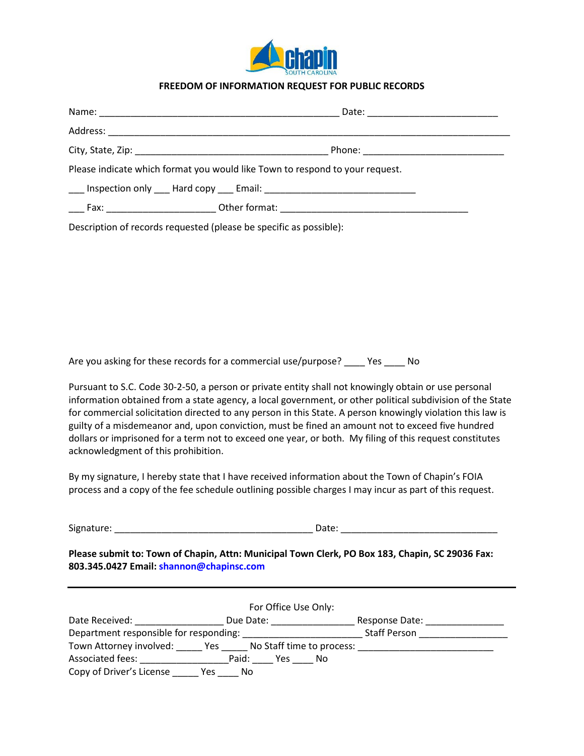

#### **FREEDOM OF INFORMATION REQUEST FOR PUBLIC RECORDS**

| Please indicate which format you would like Town to respond to your request. |
|------------------------------------------------------------------------------|
|                                                                              |
| <b>Eax:</b> Other format: Other format:                                      |

Description of records requested (please be specific as possible):

Are you asking for these records for a commercial use/purpose? \_\_\_\_ Yes \_\_\_\_ No

Pursuant to S.C. Code 30-2-50, a person or private entity shall not knowingly obtain or use personal information obtained from a state agency, a local government, or other political subdivision of the State for commercial solicitation directed to any person in this State. A person knowingly violation this law is guilty of a misdemeanor and, upon conviction, must be fined an amount not to exceed five hundred dollars or imprisoned for a term not to exceed one year, or both. My filing of this request constitutes acknowledgment of this prohibition.

By my signature, I hereby state that I have received information about the Town of Chapin's FOIA process and a copy of the fee schedule outlining possible charges I may incur as part of this request.

|  | Signature |  |
|--|-----------|--|
|  |           |  |

 $S: \underbrace{\hspace{2.5cm}} \hspace{2.5cm} \text{Date:} \underbrace{\hspace{2.5cm}} \hspace{2.5cm} \text{Date:} \underbrace{\hspace{2.5cm}} \hspace{2.5cm} \text{Date:} \underbrace{\hspace{2.5cm}} \hspace{2.5cm} \text{Date:} \underbrace{\hspace{2.5cm}} \hspace{2.5cm} \text{Date:} \underbrace{\hspace{2.5cm}} \hspace{2.5cm} \text{Date:} \underbrace{\hspace{2.5cm}} \hspace{2.5cm} \text{Date:} \underbrace{\hspace{2.5cm}} \hspace{2.5cm} \text{Date:} \under$ 

**Please submit to: Town of Chapin, Attn: Municipal Town Clerk, PO Box 183, Chapin, SC 29036 Fax: 803.345.0427 Email: shannon@chapinsc.com**

|                                        |              | For Office Use Only:      |
|----------------------------------------|--------------|---------------------------|
| Date Received:                         | Due Date:    | Response Date:            |
| Department responsible for responding: |              | <b>Staff Person</b>       |
| Town Attorney involved:                | Yes          | No Staff time to process: |
| Associated fees:                       | Paid:<br>Yes | N٥                        |
| Copy of Driver's License               | Yes<br>No    |                           |